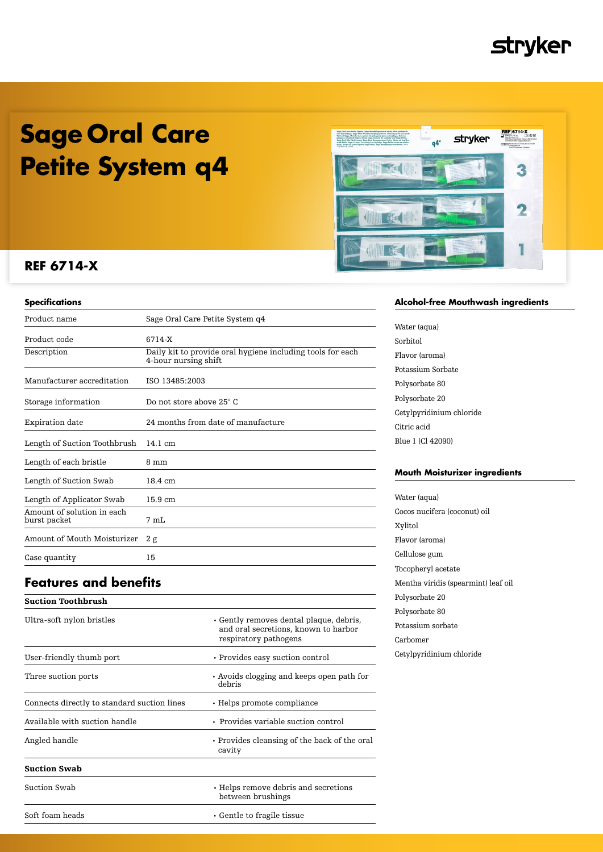## **stryker**

## **Sage Oral Care Petite System q4**



## **REF 6714-X**

| Product name                               | Sage Oral Care Petite System q4                                                    |
|--------------------------------------------|------------------------------------------------------------------------------------|
| Product code                               | 6714-X                                                                             |
| Description                                | Daily kit to provide oral hygiene including tools for each<br>4-hour nursing shift |
| Manufacturer accreditation                 | ISO 13485:2003                                                                     |
| Storage information                        | Do not store above 25° C                                                           |
| Expiration date                            | 24 months from date of manufacture                                                 |
| Length of Suction Toothbrush               | $14.1 \text{ cm}$                                                                  |
| Length of each bristle                     | 8 mm                                                                               |
| Length of Suction Swab                     | 18.4 cm                                                                            |
| Length of Applicator Swab                  | $15.9 \text{ cm}$                                                                  |
| Amount of solution in each<br>burst packet | 7 mL                                                                               |
| Amount of Mouth Moisturizer                | 2g                                                                                 |
| Case quantity                              | 15                                                                                 |
|                                            |                                                                                    |

## **Features and benefits**

| • Gently removes dental plaque, debris,<br>and oral secretions, known to harbor<br>respiratory pathogens |
|----------------------------------------------------------------------------------------------------------|
| • Provides easy suction control                                                                          |
| • Avoids clogging and keeps open path for<br>debris                                                      |
| $\cdot$ Helps promote compliance                                                                         |
| • Provides variable suction control                                                                      |
| • Provides cleansing of the back of the oral<br>cavity                                                   |
|                                                                                                          |
| • Helps remove debris and secretions<br>between brushings                                                |
| $\cdot$ Gentle to fragile tissue                                                                         |
|                                                                                                          |

### **Alcohol-free Mouthwash ingredients**

Water (aqua) Sorbitol Flavor (aroma) Potassium Sorbate Polysorbate 80 Polysorbate 20 Cetylpyridinium chloride Citric acid Blue 1 (Cl 42090)

### **Mouth Moisturizer ingredients**

Water (aqua) Cocos nucifera (coconut) oil Xylitol Flavor (aroma) Cellulose gum Tocopheryl acetate Mentha viridis (spearmint) leaf oil Polysorbate 20 Polysorbate 80 Potassium sorbate Carbomer Cetylpyridinium chloride